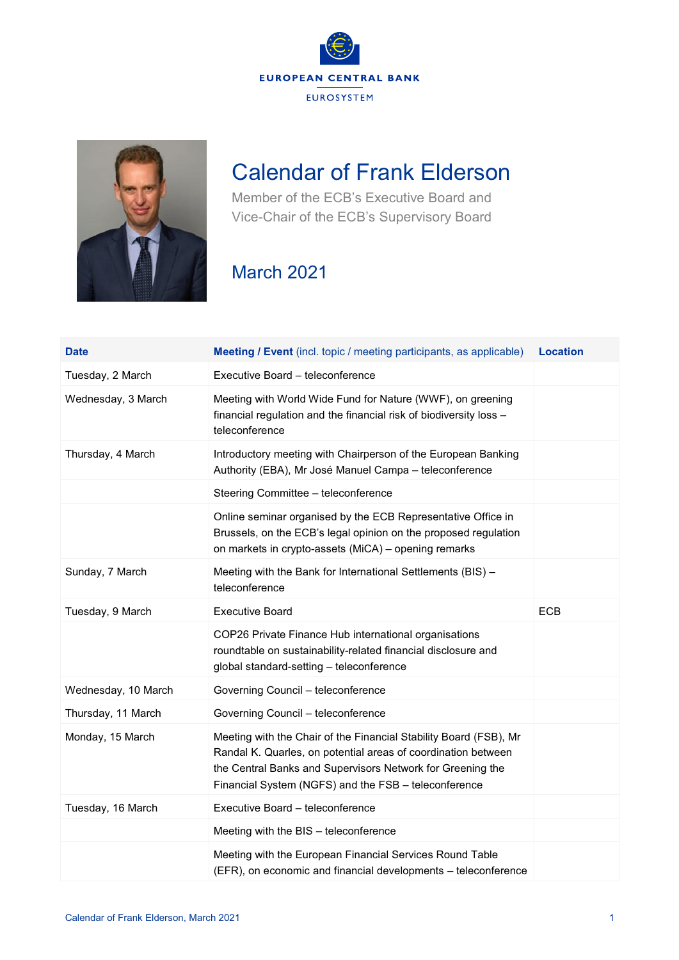



## Calendar of Frank Elderson

Member of the ECB's Executive Board and Vice-Chair of the ECB's Supervisory Board

## March 2021

| <b>Date</b>         | <b>Meeting / Event</b> (incl. topic / meeting participants, as applicable)                                                                                                                                                                               | <b>Location</b> |
|---------------------|----------------------------------------------------------------------------------------------------------------------------------------------------------------------------------------------------------------------------------------------------------|-----------------|
| Tuesday, 2 March    | Executive Board - teleconference                                                                                                                                                                                                                         |                 |
| Wednesday, 3 March  | Meeting with World Wide Fund for Nature (WWF), on greening<br>financial regulation and the financial risk of biodiversity loss -<br>teleconference                                                                                                       |                 |
| Thursday, 4 March   | Introductory meeting with Chairperson of the European Banking<br>Authority (EBA), Mr José Manuel Campa - teleconference                                                                                                                                  |                 |
|                     | Steering Committee - teleconference                                                                                                                                                                                                                      |                 |
|                     | Online seminar organised by the ECB Representative Office in<br>Brussels, on the ECB's legal opinion on the proposed regulation<br>on markets in crypto-assets (MiCA) - opening remarks                                                                  |                 |
| Sunday, 7 March     | Meeting with the Bank for International Settlements (BIS) -<br>teleconference                                                                                                                                                                            |                 |
| Tuesday, 9 March    | <b>Executive Board</b>                                                                                                                                                                                                                                   | <b>ECB</b>      |
|                     | COP26 Private Finance Hub international organisations<br>roundtable on sustainability-related financial disclosure and<br>global standard-setting - teleconference                                                                                       |                 |
| Wednesday, 10 March | Governing Council - teleconference                                                                                                                                                                                                                       |                 |
| Thursday, 11 March  | Governing Council - teleconference                                                                                                                                                                                                                       |                 |
| Monday, 15 March    | Meeting with the Chair of the Financial Stability Board (FSB), Mr<br>Randal K. Quarles, on potential areas of coordination between<br>the Central Banks and Supervisors Network for Greening the<br>Financial System (NGFS) and the FSB - teleconference |                 |
| Tuesday, 16 March   | Executive Board - teleconference                                                                                                                                                                                                                         |                 |
|                     | Meeting with the BIS - teleconference                                                                                                                                                                                                                    |                 |
|                     | Meeting with the European Financial Services Round Table<br>(EFR), on economic and financial developments - teleconference                                                                                                                               |                 |